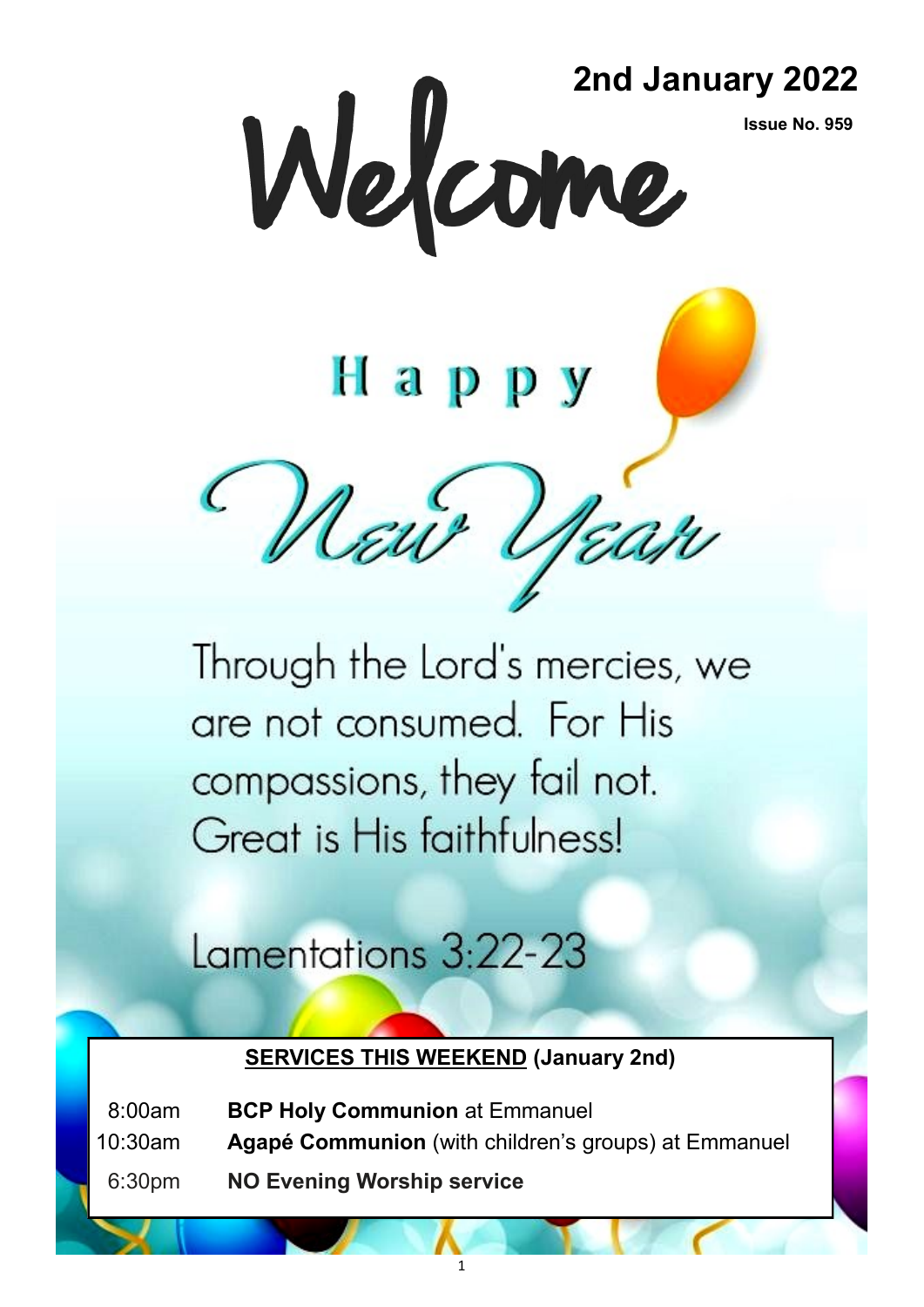**Issue No. 959**

2nd January 2022<br> **Welcome** 

# Happy

Deur Uran

Through the Lord's mercies, we are not consumed. For His compassions, they fail not. Great is His faithfulness!

## Lamentations 3:22-23

#### **SERVICES THIS WEEKEND (January 2nd)**

08:00am **BCP Holy Communion** at Emmanuel

- 10:30am **Agapé Communion** (with children's groups) at Emmanuel
- 06:30pm **NO Evening Worship service**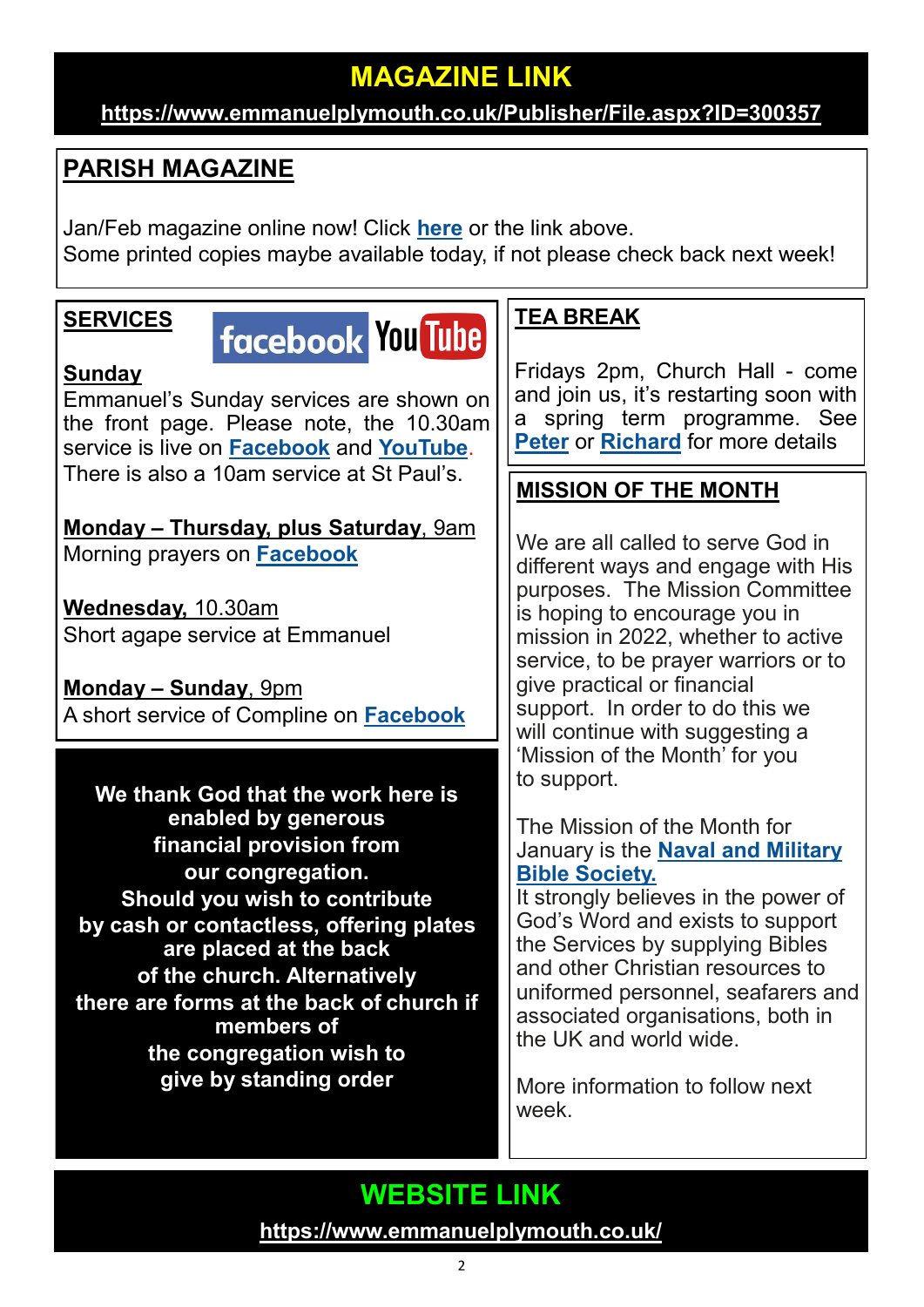## **MAGAZINE LINK**

#### **<https://www.emmanuelplymouth.co.uk/Publisher/File.aspx?ID=300357>**

#### **PARISH MAGAZINE**

Jan/Feb magazine online now! Click **[here](https://www.emmanuelplymouth.co.uk/Publisher/File.aspx?ID=300357)** or the link above. Some printed copies maybe available today, if not please check back next week!

#### **SERVICES**

## facebook You Tube

#### **Sunday**

Emmanuel's Sunday services are shown on the front page. Please note, the 10.30am service is live on **[Facebook](https://www.facebook.com/emmanuelwithstpauls/)** and **[YouTube](https://www.youtube.com/channel/UCqTPdwPeUXD1TIFuG76xLfg)**. There is also a 10am service at St Paul's.

**Monday – Thursday, plus Saturday**, 9am Morning prayers on **[Facebook](https://www.facebook.com/emmanuelwithstpauls/)**

**Wednesday,** 10.30am Short agape service at Emmanuel

**Monday – Sunday**, 9pm A short service of Compline on **[Facebook](https://www.facebook.com/emmanuelwithstpauls/)**

**We thank God that the work here is enabled by generous financial provision from our congregation. Should you wish to contribute by cash or contactless, offering plates are placed at the back of the church. Alternatively there are forms at the back of church if members of the congregation wish to give by standing order**

#### **TEA BREAK**

Fridays 2pm, Church Hall - come and join us, it's restarting soon with a spring term programme. See **[Peter](mailto:skyeye1@sky.com)** or **[Richard](mailto:richard584f@gmail.com)** for more details

#### **MISSION OF THE MONTH**

We are all called to serve God in different ways and engage with His purposes. The Mission Committee is hoping to encourage you in mission in 2022, whether to active service, to be prayer warriors or to give practical or financial support. In order to do this we will continue with suggesting a 'Mission of the Month' for you to support.

The Mission of the Month for January is the **[Naval and Military](https://nmbs.org.uk/)  [Bible Society.](https://nmbs.org.uk/)**

It strongly believes in the power of God's Word and exists to support the Services by supplying Bibles and other Christian resources to uniformed personnel, seafarers and associated organisations, both in the UK and world wide.

More information to follow next week.

### **WEBSITE LINK <https://www.emmanuelplymouth.co.uk/>**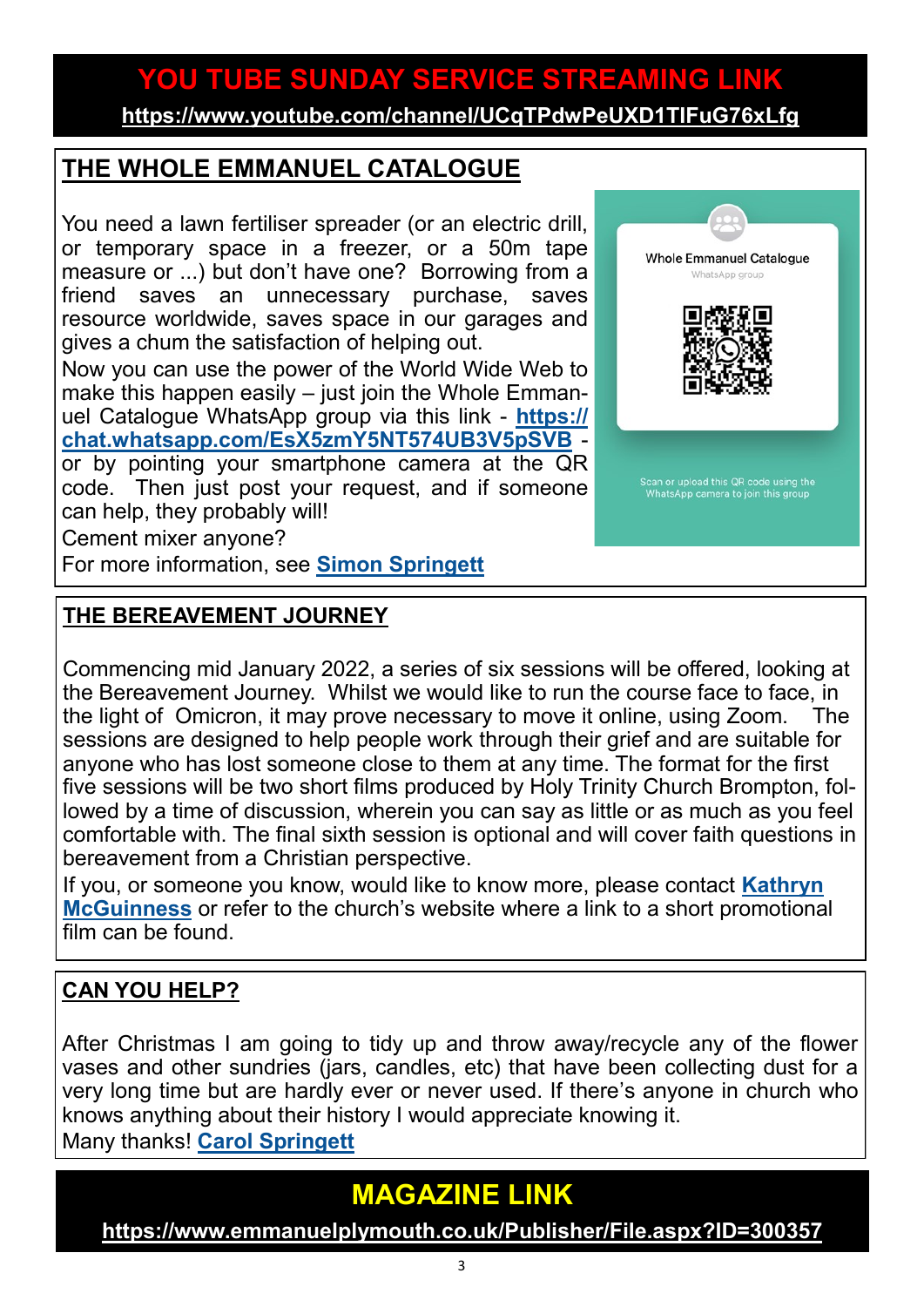## **YOU TUBE SUNDAY SERVICE STREAMING LINK**

**<https://www.youtube.com/channel/UCqTPdwPeUXD1TIFuG76xLfg>**

#### **THE WHOLE EMMANUEL CATALOGUE**

You need a lawn fertiliser spreader (or an electric drill, or temporary space in a freezer, or a 50m tape measure or ...) but don't have one? Borrowing from a friend saves an unnecessary purchase, saves resource worldwide, saves space in our garages and gives a chum the satisfaction of helping out.

Now you can use the power of the World Wide Web to make this happen easily – just join the Whole Emmanuel Catalogue WhatsApp group via this link - **[https://](https://chat.whatsapp.com/EsX5zmY5NT574UB3V5pSVB) [chat.whatsapp.com/EsX5zmY5NT574UB3V5pSVB](https://chat.whatsapp.com/EsX5zmY5NT574UB3V5pSVB)** or by pointing your smartphone camera at the QR code. Then just post your request, and if someone can help, they probably will!

Cement mixer anyone?

For more information, see **[Simon Springett](mailto:simonspringett@yahoo.com)**

#### **THE BEREAVEMENT JOURNEY**

Commencing mid January 2022, a series of six sessions will be offered, looking at the Bereavement Journey. Whilst we would like to run the course face to face, in the light of Omicron, it may prove necessary to move it online, using Zoom. The sessions are designed to help people work through their grief and are suitable for anyone who has lost someone close to them at any time. The format for the first five sessions will be two short films produced by Holy Trinity Church Brompton, followed by a time of discussion, wherein you can say as little or as much as you feel comfortable with. The final sixth session is optional and will cover faith questions in bereavement from a Christian perspective.

If you, or someone you know, would like to know more, please contact **[Kathryn](mailto:kmcguinness59@gmail.com)  [McGuinness](mailto:kmcguinness59@gmail.com)** or refer to the church's website where a link to a short promotional film can be found.

#### **CAN YOU HELP?**

After Christmas I am going to tidy up and throw away/recycle any of the flower vases and other sundries (jars, candles, etc) that have been collecting dust for a very long time but are hardly ever or never used. If there's anyone in church who knows anything about their history I would appreciate knowing it. Many thanks! **[Carol Springett](mailto:carolspringett54@gmail.com)**

## **MAGAZINE LINK**

**<https://www.emmanuelplymouth.co.uk/Publisher/File.aspx?ID=300357>**